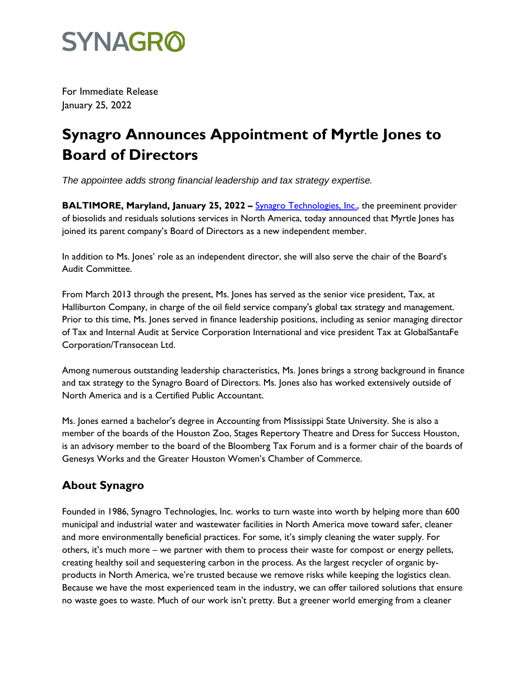

For Immediate Release January 25, 2022

## **Synagro Announces Appointment of Myrtle Jones to Board of Directors**

*The appointee adds strong financial leadership and tax strategy expertise.*

**BALTIMORE, Maryland, January 25, 2022 – <b>Synagro Technologies**, Inc., the preeminent provider of biosolids and residuals solutions services in North America, today announced that Myrtle Jones has joined its parent company's Board of Directors as a new independent member.

In addition to Ms. Jones' role as an independent director, she will also serve the chair of the Board's Audit Committee.

From March 2013 through the present, Ms. Jones has served as the senior vice president, Tax, at Halliburton Company, in charge of the oil field service company's global tax strategy and management. Prior to this time, Ms. Jones served in finance leadership positions, including as senior managing director of Tax and Internal Audit at Service Corporation International and vice president Tax at GlobalSantaFe Corporation/Transocean Ltd.

Among numerous outstanding leadership characteristics, Ms. Jones brings a strong background in finance and tax strategy to the Synagro Board of Directors. Ms. Jones also has worked extensively outside of North America and is a Certified Public Accountant.

Ms. Jones earned a bachelor's degree in Accounting from Mississippi State University. She is also a member of the boards of the Houston Zoo, Stages Repertory Theatre and Dress for Success Houston, is an advisory member to the board of the Bloomberg Tax Forum and is a former chair of the boards of Genesys Works and the Greater Houston Women's Chamber of Commerce.

## **About Synagro**

Founded in 1986, Synagro Technologies, Inc. works to turn waste into worth by helping more than 600 municipal and industrial water and wastewater facilities in North America move toward safer, cleaner and more environmentally beneficial practices. For some, it's simply cleaning the water supply. For others, it's much more – we partner with them to process their waste for compost or energy pellets, creating healthy soil and sequestering carbon in the process. As the largest recycler of organic byproducts in North America, we're trusted because we remove risks while keeping the logistics clean. Because we have the most experienced team in the industry, we can offer tailored solutions that ensure no waste goes to waste. Much of our work isn't pretty. But a greener world emerging from a cleaner